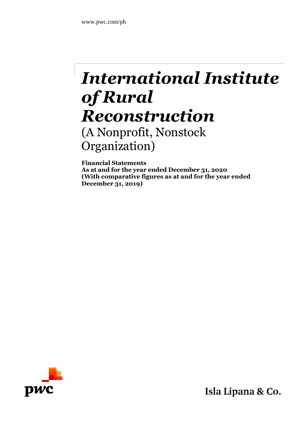(A Nonprofit, Nonstock Organization)

**Financial Statements As at and for the year ended December 31, 2020 (With comparative figures as at and for the year ended December 31, 2019)**



Isla Lipana & Co.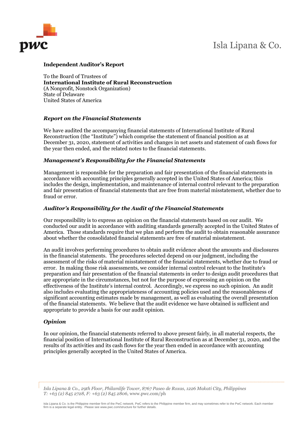

#### **Independent Auditor's Report**

To the Board of Trustees of **International Institute of Rural Reconstruction** (A Nonprofit, Nonstock Organization) State of Delaware United States of America

#### *Report on the Financial Statements*

We have audited the accompanying financial statements of International Institute of Rural Reconstruction (the "Institute") which comprise the statement of financial position as at December 31, 2020, statement of activities and changes in net assets and statement of cash flows for the year then ended, and the related notes to the financial statements.

#### *Management's Responsibility for the Financial Statements*

Management is responsible for the preparation and fair presentation of the financial statements in accordance with accounting principles generally accepted in the United States of America; this includes the design, implementation, and maintenance of internal control relevant to the preparation and fair presentation of financial statements that are free from material misstatement, whether due to fraud or error.

#### *Auditor's Responsibility for the Audit of the Financial Statements*

Our responsibility is to express an opinion on the financial statements based on our audit. We conducted our audit in accordance with auditing standards generally accepted in the United States of America. Those standards require that we plan and perform the audit to obtain reasonable assurance about whether the consolidated financial statements are free of material misstatement.

An audit involves performing procedures to obtain audit evidence about the amounts and disclosures in the financial statements. The procedures selected depend on our judgment, including the assessment of the risks of material misstatement of the financial statements, whether due to fraud or error. In making those risk assessments, we consider internal control relevant to the Institute's preparation and fair presentation of the financial statements in order to design audit procedures that are appropriate in the circumstances, but not for the purpose of expressing an opinion on the effectiveness of the Institute's internal control. Accordingly, we express no such opinion. An audit also includes evaluating the appropriateness of accounting policies used and the reasonableness of significant accounting estimates made by management, as well as evaluating the overall presentation of the financial statements. We believe that the audit evidence we have obtained is sufficient and appropriate to provide a basis for our audit opinion.

# *Opinion*

In our opinion, the financial statements referred to above present fairly, in all material respects, the financial position of International Institute of Rural Reconstruction as at December 31, 2020, and the results of its activities and its cash flows for the year then ended in accordance with accounting principles generally accepted in the United States of America.

*Isla Lipana & Co., 29th Floor, Philamlife Tower, 8767 Paseo de Roxas, 1226 Makati City, Philippines T: +63 (2) 845 2728, F: +63 (2) 845 2806,* [www.pwc.com/ph](http://www.pwc.com/ph)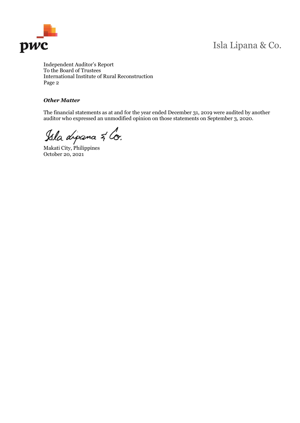# Isla Lipana & Co.



Independent Auditor's Report To the Board of Trustees International Institute of Rural Reconstruction Page 2

# *Other Matter*

The financial statements as at and for the year ended December 31, 2019 were audited by another auditor who expressed an unmodified opinion on those statements on September 3, 2020.

Isla dipana & Co.

Makati City, Philippines October 20, 2021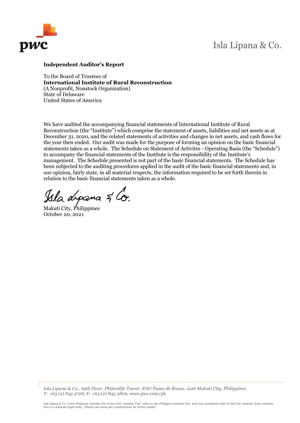

# Isla Lipana & Co.

#### **Independent Auditor's Report**

To the Board of Trustees of **International Institute of Rural Reconstruction** (A Nonprofit, Nonstock Organization) State of Delaware United States of America

We have audited the accompanying financial statements of International Institute of Rural Reconstruction (the "Institute") which comprise the statement of assets, liabilities and net assets as at December 31, 2020, and the related statements of activities and changes in net assets, and cash flows for the year then ended. Our audit was made for the purpose of forming an opinion on the basic financial statements taken as a whole. The Schedule on Statement of Activites - Operating Basis (the "Schedule") to accompany the financial statements of the Institute is the responsibility of the Institute's management. The Schedule presented is not part of the basic financial statements. The Schedule has been subjected to the auditing procedures applied in the audit of the basic financial statements and, in our opinion, fairly state, in all material respects, the information required to be set forth therein in relation to the basic financial statements taken as a whole.

Isla dipana & Co.

Makati City, Philippines October 20, 2021

*Isla Lipana & Co., 29th Floor, Philamlife Tower, 8767 Paseo de Roxas, 1226 Makati City, Philippines T: +63 (2) 845 2728, F: +63 (2) 845 2806,* [www.pwc.com/ph](http://www.pwc.com/ph)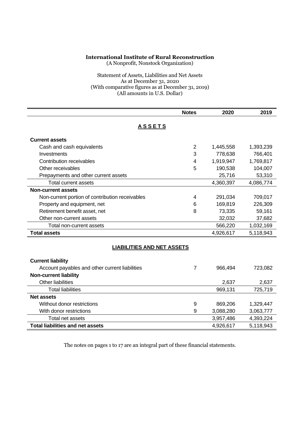(A Nonprofit, Nonstock Organization)

#### Statement of Assets, Liabilities and Net Assets As at December 31, 2020 (With comparative figures as at December 31, 2019) (All amounts in U.S. Dollar)

|                                                 | <b>Notes</b>   | 2020      | 2019      |
|-------------------------------------------------|----------------|-----------|-----------|
|                                                 |                |           |           |
| <b>ASSETS</b>                                   |                |           |           |
| <b>Current assets</b>                           |                |           |           |
| Cash and cash equivalents                       | $\overline{2}$ | 1,445,558 | 1,393,239 |
| Investments                                     | 3              | 778,638   | 766,401   |
| <b>Contribution receivables</b>                 | 4              | 1,919,947 | 1,769,817 |
| Other receivables                               | 5              | 190,538   | 104,007   |
| Prepayments and other current assets            |                | 25,716    | 53,310    |
| <b>Total current assets</b>                     |                | 4,360,397 | 4,086,774 |
| <b>Non-current assets</b>                       |                |           |           |
| Non-current portion of contribution receivables | 4              | 291,034   | 709,017   |
| Property and equipment, net                     | 6              | 169,819   | 226,309   |
| Retirement benefit asset, net                   | 8              | 73,335    | 59,161    |
| Other non-current assets                        |                | 32,032    | 37,682    |
| Total non-current assets                        |                | 566,220   | 1,032,169 |
| <b>Total assets</b>                             |                | 4,926,617 | 5,118,943 |
|                                                 |                |           |           |
| <b>LIABILITIES AND NET ASSETS</b>               |                |           |           |
| <b>Current liability</b>                        |                |           |           |
| Account payables and other current liabilities  | $\overline{7}$ | 966,494   | 723,082   |
| <b>Non-current liability</b>                    |                |           |           |
| <b>Other liabilities</b>                        |                | 2,637     | 2,637     |
| <b>Total liabilities</b>                        |                | 969,131   | 725,719   |
| <b>Net assets</b>                               |                |           |           |
| Without donor restrictions                      | 9              | 869,206   | 1,329,447 |
| With donor restrictions                         | 9              | 3,088,280 | 3,063,777 |
| Total net assets                                |                | 3,957,486 | 4,393,224 |
| <b>Total liabilities and net assets</b>         |                | 4,926,617 | 5,118,943 |

The notes on pages 1 to 17 are an integral part of these financial statements.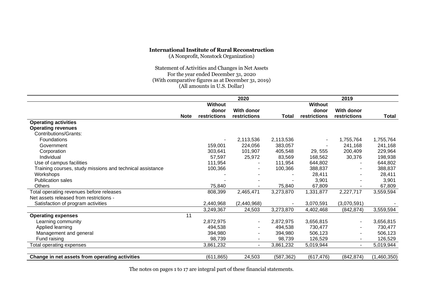(A Nonprofit, Nonstock Organization)

Statement of Activities and Changes in Net Assets For the year ended December 31, 2020 (With comparative figures as at December 31, 2019) (All amounts in U.S. Dollar)

|                                                           |             |                                         | 2020                              |            |                                         | 2019                       |             |
|-----------------------------------------------------------|-------------|-----------------------------------------|-----------------------------------|------------|-----------------------------------------|----------------------------|-------------|
|                                                           | <b>Note</b> | <b>Without</b><br>donor<br>restrictions | <b>With donor</b><br>restrictions | Total      | <b>Without</b><br>donor<br>restrictions | With donor<br>restrictions | Total       |
| <b>Operating activities</b>                               |             |                                         |                                   |            |                                         |                            |             |
| <b>Operating revenues</b>                                 |             |                                         |                                   |            |                                         |                            |             |
| Contributions/Grants:                                     |             |                                         |                                   |            |                                         |                            |             |
| <b>Foundations</b>                                        |             |                                         | 2,113,536                         | 2,113,536  |                                         | 1,755,764                  | 1,755,764   |
| Government                                                |             | 159,001                                 | 224,056                           | 383,057    |                                         | 241,168                    | 241,168     |
| Corporation                                               |             | 303,641                                 | 101,907                           | 405,548    | 29, 555                                 | 200,409                    | 229,964     |
| Individual                                                |             | 57,597                                  | 25,972                            | 83,569     | 168,562                                 | 30,376                     | 198,938     |
| Use of campus facilities                                  |             | 111,954                                 |                                   | 111,954    | 644,802                                 |                            | 644,802     |
| Training courses, study missions and technical assistance |             | 100,366                                 |                                   | 100,366    | 388,837                                 |                            | 388,837     |
| Workshops                                                 |             |                                         |                                   |            | 28,411                                  |                            | 28,411      |
| <b>Publication sales</b>                                  |             |                                         |                                   |            | 3,901                                   |                            | 3,901       |
| <b>Others</b>                                             |             | 75,840                                  |                                   | 75,840     | 67,809                                  |                            | 67,809      |
| Total operating revenues before releases                  |             | 808,399                                 | 2,465,471                         | 3,273,870  | 1,331,877                               | 2,227,717                  | 3,559,594   |
| Net assets released from restrictions -                   |             |                                         |                                   |            |                                         |                            |             |
| Satisfaction of program activities                        |             | 2,440,968                               | (2,440,968)                       | ٠          | 3,070,591                               | (3,070,591)                |             |
|                                                           |             | 3,249,367                               | 24,503                            | 3,273,870  | 4,402,468                               | (842, 874)                 | 3,559,594   |
| <b>Operating expenses</b>                                 | 11          |                                         |                                   |            |                                         |                            |             |
| Learning community                                        |             | 2,872,975                               | $\blacksquare$                    | 2,872,975  | 3,656,815                               |                            | 3,656,815   |
| Applied learning                                          |             | 494,538                                 |                                   | 494,538    | 730,477                                 |                            | 730,477     |
| Management and general                                    |             | 394,980                                 | ۰                                 | 394,980    | 506,123                                 |                            | 506,123     |
| Fund raising                                              |             | 98,739                                  |                                   | 98,739     | 126,529                                 |                            | 126,529     |
| Total operating expenses                                  |             | 3,861,232                               | $\blacksquare$                    | 3,861,232  | 5,019,944                               | $\sim$                     | 5,019,944   |
|                                                           |             |                                         |                                   |            |                                         |                            |             |
| Change in net assets from operating activities            |             | (611, 865)                              | 24,503                            | (587, 362) | (617, 476)                              | (842, 874)                 | (1,460,350) |

The notes on pages 1 to 17 are integral part of these financial statements.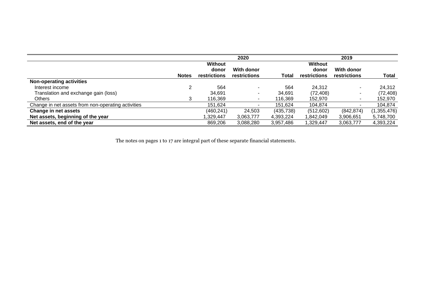|                                                    |              |                                  | 2020                              |           |                                  | 2019                              |               |
|----------------------------------------------------|--------------|----------------------------------|-----------------------------------|-----------|----------------------------------|-----------------------------------|---------------|
|                                                    | <b>Notes</b> | Without<br>donor<br>restrictions | With donor<br><b>restrictions</b> | Total     | Without<br>donor<br>restrictions | With donor<br><b>restrictions</b> | Total         |
| <b>Non-operating activities</b>                    |              |                                  |                                   |           |                                  |                                   |               |
| Interest income                                    | 2            | 564                              |                                   | 564       | 24,312                           | $\overline{\phantom{a}}$          | 24.312        |
| Translation and exchange gain (loss)               |              | 34.691                           | $\overline{\phantom{a}}$          | 34.691    | (72, 408)                        |                                   | (72, 408)     |
| Others                                             |              | 116,369                          |                                   | 116,369   | 152,970                          |                                   | 152,970       |
| Change in net assets from non-operating activities |              | 151.624                          | $\overline{\phantom{a}}$          | 151.624   | 104,874                          |                                   | 104,874       |
| Change in net assets                               |              | (460, 241)                       | 24,503                            | (435,738) | (512, 602)                       | (842, 874)                        | (1, 355, 476) |
| Net assets, beginning of the year                  |              | 1,329,447                        | 3,063,777                         | 4,393,224 | 842,049,ا                        | 3,906,651                         | 5,748,700     |
| Net assets, end of the year                        |              | 869,206                          | 3,088,280                         | 3,957,486 | 329,447,                         | 3,063,777                         | 4,393,224     |

The notes on pages 1 to 17 are integral part of these separate financial statements.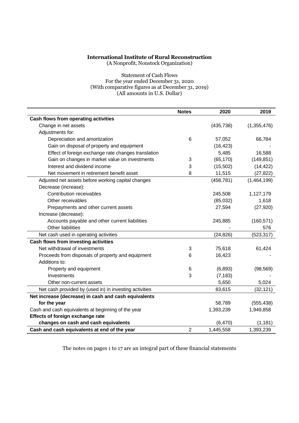(A Nonprofit, Nonstock Organization)

#### Statement of Cash Flows For the year ended December 31, 2020 (With comparative figures as at December 31, 2019) (All amounts in U.S. Dollar)

|                                                        | <b>Notes</b>   | 2020       | 2019        |
|--------------------------------------------------------|----------------|------------|-------------|
| Cash flows from operating activities                   |                |            |             |
| Change in net assets                                   |                | (435, 738) | (1,355,476) |
| Adjustments for:                                       |                |            |             |
| Depreciation and amortization                          | 6              | 57,052     | 66,784      |
| Gain on disposal of property and equipment             |                | (16, 423)  |             |
| Effect of foreign exchange rate changes translation    |                | 5,485      | 16,588      |
| Gain on changes in market value on investments         | 3              | (65, 170)  | (149, 851)  |
| Interest and dividend income                           | 3              | (15, 502)  | (14, 422)   |
| Net movement in retirement benefit asset               | 8              | 11,515     | (27, 822)   |
| Adjusted net assets before working capital changes     |                | (458, 781) | (1,464,199) |
| Decrease (increase):                                   |                |            |             |
| Contribution receivables                               |                | 245,508    | 1,127,179   |
| Other receivables                                      |                | (85,032)   | 1,618       |
| Prepayments and other current assets                   |                | 27,594     | (27, 920)   |
| Increase (decrease):                                   |                |            |             |
| Accounts payable and other current liabilities         |                | 245,885    | (160, 571)  |
| <b>Other liabilities</b>                               |                |            | 576         |
| Net cash used in operating activities                  |                | (24, 826)  | (523, 317)  |
| Cash flows from investing activities                   |                |            |             |
| Net withdrawal of investments                          | 3              | 75,618     | 61,424      |
| Proceeds from disposals of property and equipment      | 6              | 16,423     |             |
| Additions to:                                          |                |            |             |
| Property and equipment                                 | 6              | (6,893)    | (98, 569)   |
| Investments                                            | 3              | (7, 183)   |             |
| Other non-current assets                               |                | 5,650      | 5,024       |
| Net cash provided by (used in) in investing activities |                | 83,615     | (32, 121)   |
| Net increase (decrease) in cash and cash equivalents   |                |            |             |
| for the year                                           |                | 58,789     | (555, 438)  |
| Cash and cash equivalents at beginning of the year     |                | 1,393,239  | 1,949,858   |
| Effects of foreign exchange rate                       |                |            |             |
| changes on cash and cash equivalents                   |                | (6, 470)   | (1, 181)    |
| Cash and cash equivalents at end of the year           | $\overline{2}$ | 1,445,558  | 1,393,239   |

The notes on pages 1 to 17 are an integral part of these financial statements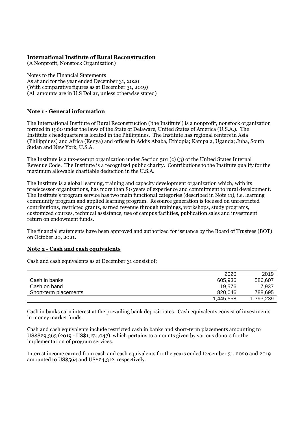(A Nonprofit, Nonstock Organization)

Notes to the Financial Statements As at and for the year ended December 31, 2020 (With comparative figures as at December 31, 2019) (All amounts are in U.S Dollar, unless otherwise stated)

#### **Note 1 - General information**

The International Institute of Rural Reconstruction ('the Institute') is a nonprofit, nonstock organization formed in 1960 under the laws of the State of Delaware, United States of America (U.S.A.). The Institute's headquarters is located in the Philippines. The Institute has regional centers in Asia (Philippines) and Africa (Kenya) and offices in Addis Ababa, Ethiopia; Kampala, Uganda; Juba, South Sudan and New York, U.S.A.

The Institute is a tax-exempt organization under Section 501 (c) (3) of the United States Internal Revenue Code. The Institute is a recognized public charity. Contributions to the Institute qualify for the maximum allowable charitable deduction in the U.S.A.

The Institute is a global learning, training and capacity development organization which, with its predecessor organizations, has more than 80 years of experience and commitment to rural development. The Institute's program service has two main functional categories (described in Note 11), i.e. learning community program and applied learning program. Resource generation is focused on unrestricted contributions, restricted grants, earned revenue through trainings, workshops, study programs, customized courses, technical assistance, use of campus facilities, publication sales and investment return on endowment funds.

The financial statements have been approved and authorized for issuance by the Board of Trustees (BOT) on October 20, 2021.

#### **Note 2 - Cash and cash equivalents**

Cash and cash equivalents as at December 31 consist of:

|                       | 2020      | 2019      |
|-----------------------|-----------|-----------|
| Cash in banks         | 605,936   | 586,607   |
| Cash on hand          | 19,576    | 17,937    |
| Short-term placements | 820,046   | 788,695   |
|                       | 1.445.558 | 1,393,239 |

Cash in banks earn interest at the prevailing bank deposit rates. Cash equivalents consist of investments in money market funds.

Cash and cash equivalents include restricted cash in banks and short-term placements amounting to US\$829,363 (2019 - US\$1,174,047), which pertains to amounts given by various donors for the implementation of program services.

Interest income earned from cash and cash equivalents for the years ended December 31, 2020 and 2019 amounted to US\$564 and US\$24,312, respectively.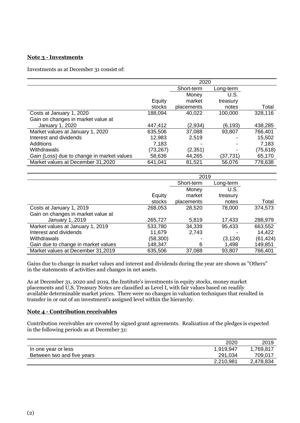# **Note 3 - Investments**

Investments as at December 31 consist of:

|                                            |          | 2020       |           |           |
|--------------------------------------------|----------|------------|-----------|-----------|
|                                            |          | Short-term | Long-term |           |
|                                            |          | Money      | U.S.      |           |
|                                            | Equity   | market     | treasury  |           |
|                                            | stocks   | placements | notes     | Total     |
| Costs at January 1, 2020                   | 188,094  | 40,022     | 100,000   | 328,116   |
| Gain on changes in market value at         |          |            |           |           |
| January 1, 2020                            | 447,412  | (2,934)    | (6, 193)  | 438,285   |
| Market values at January 1, 2020           | 635,506  | 37,088     | 93,807    | 766,401   |
| Interest and dividends                     | 12,983   | 2,519      |           | 15,502    |
| Additions                                  | 7,183    |            |           | 7,183     |
| Withdrawals                                | (73,267) | (2,351)    |           | (75, 618) |
| Gain (Loss) due to change in market values | 58,636   | 44,265     | (37,731)  | 65,170    |
| Market values at December 31,2020          | 641,041  | 81,521     | 56,076    | 778,638   |
|                                            |          |            |           |           |

|                                     |          | 2019       |           |           |
|-------------------------------------|----------|------------|-----------|-----------|
|                                     |          | Short-term | Long-term |           |
|                                     |          | Money      | U.S.      |           |
|                                     | Equity   | market     | treasury  |           |
|                                     | stocks   | placements | notes     | Total     |
| Costs at January 1, 2019            | 268,053  | 28,520     | 78,000    | 374,573   |
| Gain on changes in market value at  |          |            |           |           |
| January 1, 2019                     | 265,727  | 5,819      | 17,433    | 288,979   |
| Market values at January 1, 2019    | 533,780  | 34,339     | 95,433    | 663,552   |
| Interest and dividends              | 11,679   | 2,743      |           | 14,422    |
| Withdrawals                         | (58,300) |            | (3, 124)  | (61, 424) |
| Gain due to change in market values | 148,347  | 6          | 1,498     | 149,851   |
| Market values at December 31,2019   | 635,506  | 37,088     | 93,807    | 766,401   |

Gains due to change in market values and interest and dividends during the year are shown as "Others" in the statements of activities and changes in net assets.

As at December 31, 2020 and 2019, the Institute's investments in equity stocks, money market placements and U.S. Treasury Notes are classified as Level I, with fair values based on readily available determinable market prices. There were no changes in valuation techniques that resulted in transfer in or out of an investment's assigned level within the hierarchy.

#### **Note 4 - Contribution receivables**

Contribution receivables are covered by signed grant agreements. Realization of the pledges is expected in the following periods as at December 31:

|                            | 2020      | 2019      |
|----------------------------|-----------|-----------|
| In one year or less        | 1,919,947 | 1,769,817 |
| Between two and five years | 291,034   | 709.017   |
|                            | 2,210,981 | 2,478,834 |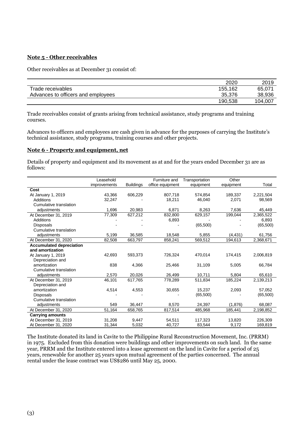# **Note 5 - Other receivables**

Other receivables as at December 31 consist of:

|                                    | 2020    | 2019    |
|------------------------------------|---------|---------|
| Trade receivables                  | 155,162 | 65,071  |
| Advances to officers and employees | 35,376  | 38,936  |
|                                    | 190,538 | 104,007 |

Trade receivables consist of grants arising from technical assistance, study programs and training courses.

Advances to officers and employees are cash given in advance for the purposes of carrying the Institute's technical assistance, study programs, training courses and other projects.

#### **Note 6 - Property and equipment, net**

Details of property and equipment and its movement as at and for the years ended December 31 are as follows:

|                                 | Leasehold    |                  | Furniture and    | Transportation | Other     |           |
|---------------------------------|--------------|------------------|------------------|----------------|-----------|-----------|
|                                 | improvements | <b>Buildings</b> | office equipment | equipment      | equipment | Total     |
| Cost                            |              |                  |                  |                |           |           |
| At January 1, 2019              | 43,366       | 606,229          | 807,718          | 574,854        | 189,337   | 2,221,504 |
| Additions                       | 32,247       |                  | 18,211           | 46,040         | 2,071     | 98,569    |
| Cumulative translation          |              |                  |                  |                |           |           |
| adjustments                     | 1,696        | 20,983           | 6,871            | 8,263          | 7,636     | 45,449    |
| At December 31, 2019            | 77,309       | 627,212          | 832,800          | 629,157        | 199,044   | 2,365,522 |
| <b>Additions</b>                |              |                  | 6,893            |                |           | 6,893     |
| <b>Disposals</b>                |              |                  |                  | (65,500)       |           | (65,500)  |
| Cumulative translation          |              |                  |                  |                |           |           |
| adjustments                     | 5,199        | 36,585           | 18,548           | 5,855          | (4, 431)  | 61,756    |
| At December 31, 2020            | 82,508       | 663,797          | 858,241          | 569,512        | 194,613   | 2,368,671 |
| <b>Accumulated depreciation</b> |              |                  |                  |                |           |           |
| and amortization                |              |                  |                  |                |           |           |
| At January 1, 2019              | 42,693       | 593,373          | 726,324          | 470,014        | 174,415   | 2,006,819 |
| Depreciation and                |              |                  |                  |                |           |           |
| amortization                    | 838          | 4,366            | 25,466           | 31,109         | 5,005     | 66,784    |
| Cumulative translation          |              |                  |                  |                |           |           |
| adjustments                     | 2,570        | 20,026           | 26,499           | 10,711         | 5,804     | 65,610    |
| At December 31, 2019            | 46,101       | 617,765          | 778,289          | 511,834        | 185,224   | 2,139,213 |
| Depreciation and                |              |                  |                  |                |           |           |
| amortization                    | 4,514        | 4,553            | 30,655           | 15,237         | 2,093     | 57,052    |
| Disposals                       |              |                  |                  | (65, 500)      |           | (65,500)  |
| Cumulative translation          |              |                  |                  |                |           |           |
| adjustments                     | 549          | 36,447           | 8,570            | 24,397         | (1,876)   | 68,087    |
| At December 31, 2020            | 51,164       | 658,765          | 817,514          | 485,968        | 185,441   | 2,198,852 |
| <b>Carrying amounts</b>         |              |                  |                  |                |           |           |
| At December 31, 2019            | 31,208       | 9,447            | 54,511           | 117,323        | 13.820    | 226,309   |
| At December 31, 2020            | 31,344       | 5,032            | 40,727           | 83,544         | 9,172     | 169,819   |

The Institute donated its land in Cavite to the Philippine Rural Reconstruction Movement, Inc. (PRRM) in 1975. Excluded from this donation were buildings and other improvements on such land. In the same year, PRRM and the Institute entered into a lease agreement on the land in Cavite for a period of 25 years, renewable for another 25 years upon mutual agreement of the parties concerned. The annual rental under the lease contract was US\$286 until May 25, 2000.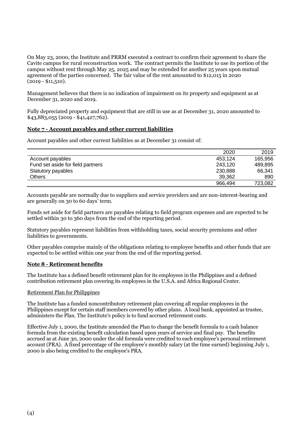On May 23, 2000, the Institute and PRRM executed a contract to confirm their agreement to share the Cavite campus for rural reconstruction work. The contract permits the Institute to use its portion of the campus without rent through May 25, 2025 and may be extended for another 25 years upon mutual agreement of the parties concerned. The fair value of the rent amounted to \$12,015 in 2020  $(2019 - $11,510)$ .

Management believes that there is no indication of impairment on its property and equipment as at December 31, 2020 and 2019.

Fully depreciated property and equipment that are still in use as at December 31, 2020 amounted to \$43,883,055 (2019 - \$41,427,762).

# **Note 7 - Account payables and other current liabilities**

Account payables and other current liabilities as at December 31 consist of:

|                                   | 2020    | 2019    |
|-----------------------------------|---------|---------|
| Account payables                  | 453,124 | 165,956 |
| Fund set aside for field partners | 243,120 | 489,895 |
| Statutory payables                | 230,888 | 66,341  |
| <b>Others</b>                     | 39,362  | 890     |
|                                   | 966,494 | 723,082 |

Accounts payable are normally due to suppliers and service providers and are non-interest-bearing and are generally on 30 to 60 days' term.

Funds set aside for field partners are payables relating to field program expenses and are expected to be settled within 30 to 360 days from the end of the reporting period.

Statutory payables represent liabilities from withholding taxes, social security premiums and other liabilities to governments.

Other payables comprise mainly of the obligations relating to employee benefits and other funds that are expected to be settled within one year from the end of the reporting period.

# **Note 8 - Retirement benefits**

The Institute has a defined benefit retirement plan for its employees in the Philippines and a defined contribution retirement plan covering its employees in the U.S.A. and Africa Regional Center.

#### Retirement Plan for Philippines

The Institute has a funded noncontributory retirement plan covering all regular employees in the Philippines except for certain staff members covered by other plans. A local bank, appointed as trustee, administers the Plan. The Institute's policy is to fund accrued retirement costs.

Effective July 1, 2000, the Institute amended the Plan to change the benefit formula to a cash balance formula from the existing benefit calculation based upon years of service and final pay. The benefits accrued as at June 30, 2000 under the old formula were credited to each employee's personal retirement account (PRA). A fixed percentage of the employee's monthly salary (at the time earned) beginning July 1, 2000 is also being credited to the employee's PRA.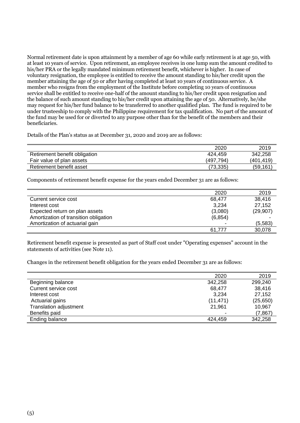Normal retirement date is upon attainment by a member of age 60 while early retirement is at age 50, with at least 10 years of service. Upon retirement, an employee receives in one lump sum the amount credited to his/her PRA or the legally mandated minimum retirement benefit, whichever is higher. In case of voluntary resignation, the employee is entitled to receive the amount standing to his/her credit upon the member attaining the age of 50 or after having completed at least 10 years of continuous service. A member who resigns from the employment of the Institute before completing 10 years of continuous service shall be entitled to receive one-half of the amount standing to his/her credit upon resignation and the balance of such amount standing to his/her credit upon attaining the age of 50. Alternatively, he/she may request for his/her fund balance to be transferred to another qualified plan. The fund is required to be under trusteeship to comply with the Philippine requirement for tax qualification. No part of the amount of the fund may be used for or diverted to any purpose other than for the benefit of the members and their beneficiaries.

Details of the Plan's status as at December 31, 2020 and 2019 are as follows:

|                               | 2020       | 2019       |
|-------------------------------|------------|------------|
| Retirement benefit obligation | 424.459    | 342,258    |
| Fair value of plan assets     | (497, 794) | (401, 419) |
| Retirement benefit asset      | (73, 335)  | (59, 161)  |

Components of retirement benefit expense for the years ended December 31 are as follows:

|                                       | 2020     | 2019      |
|---------------------------------------|----------|-----------|
| Current service cost                  | 68,477   | 38,416    |
| Interest cost                         | 3,234    | 27,152    |
| Expected return on plan assets        | (3,080)  | (29, 907) |
| Amortization of transition obligation | (6, 854) |           |
| Amortization of actuarial gain        |          | (5,583)   |
|                                       | 61.777   | 30,078    |

Retirement benefit expense is presented as part of Staff cost under "Operating expenses" account in the statements of activities (see Note 11).

Changes in the retirement benefit obligation for the years ended December 31 are as follows:

| 2020      | 2019      |
|-----------|-----------|
| 342,258   | 299,240   |
| 68,477    | 38,416    |
| 3,234     | 27,152    |
| (11, 471) | (25, 650) |
| 21,961    | 10,967    |
|           | (7, 867)  |
| 424,459   | 342,258   |
|           |           |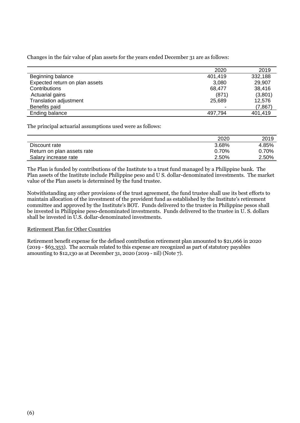Changes in the fair value of plan assets for the years ended December 31 are as follows:

|                                | 2020    | 2019     |
|--------------------------------|---------|----------|
| Beginning balance              | 401,419 | 332,188  |
| Expected return on plan assets | 3,080   | 29,907   |
| Contributions                  | 68,477  | 38,416   |
| Actuarial gains                | (871)   | (3,801)  |
| <b>Translation adjustment</b>  | 25,689  | 12,576   |
| Benefits paid                  |         | (7, 867) |
| Ending balance                 | 497,794 | 401,419  |

The principal actuarial assumptions used were as follows:

|                            | 2020     | 2019  |
|----------------------------|----------|-------|
| Discount rate              | 3.68%    | 4.85% |
| Return on plan assets rate | $0.70\%$ | 0.70% |
| Salary increase rate       | 2.50%    | 2.50% |

The Plan is funded by contributions of the Institute to a trust fund managed by a Philippine bank. The Plan assets of the Institute include Philippine peso and U S. dollar-denominated investments. The market value of the Plan assets is determined by the fund trustee.

Notwithstanding any other provisions of the trust agreement, the fund trustee shall use its best efforts to maintain allocation of the investment of the provident fund as established by the Institute's retirement committee and approved by the Institute's BOT. Funds delivered to the trustee in Philippine pesos shall be invested in Philippine peso-denominated investments. Funds delivered to the trustee in U. S. dollars shall be invested in U.S. dollar-denominated investments.

# Retirement Plan for Other Countries

Retirement benefit expense for the defined contribution retirement plan amounted to \$21,066 in 2020 (2019 - \$63,353). The accruals related to this expense are recognized as part of statutory payables amounting to \$12,130 as at December 31, 2020 (2019 - nil) (Note 7).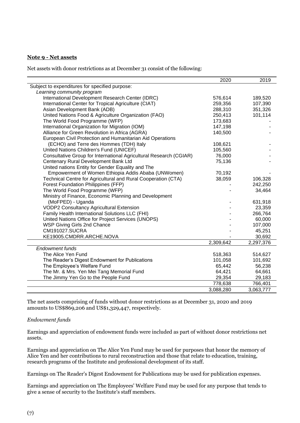# **Note 9 - Net assets**

Net assets with donor restrictions as at December 31 consist of the following:

|                                                                    | 2020      | 2019      |
|--------------------------------------------------------------------|-----------|-----------|
| Subject to expenditures for specified purpose:                     |           |           |
| Learning community program                                         |           |           |
| International Development Research Center (IDRC)                   | 576,614   | 189,520   |
| International Center for Tropical Agriculture (CIAT)               | 259,356   | 107,390   |
| Asian Development Bank (ADB)                                       | 288,310   | 351,326   |
| United Nations Food & Agriculture Organization (FAO)               | 250,413   | 101,114   |
| The World Food Programme (WFP)                                     | 173,683   |           |
| International Organization for Migration (IOM)                     | 147,198   |           |
| Alliance for Green Revolution in Africa (AGRA)                     | 140,500   |           |
| European Civil Protection and Humanitarian Aid Operations          |           |           |
| (ECHO) and Terre des Hommes (TDH) Italy                            | 108,621   |           |
| United Nations Children's Fund (UNICEF)                            | 105,560   |           |
| Consultative Group for International Agricultural Research (CGIAR) | 76,000    |           |
| Centenary Rural Development Bank Ltd                               | 75,136    |           |
| United nations Entity for Gender Equality and The                  |           |           |
| Empowerment of Women Ethiopia Addis Ababa (UNWomen)                | 70,192    |           |
| Technical Centre for Agricultural and Rural Cooperation (CTA)      | 38,059    | 106,328   |
| Forest Foundation Philippines (FFP)                                |           | 242,250   |
| The World Food Programme (WFP)                                     |           | 34,464    |
| Ministry of Finance, Economic Planning and Development             |           |           |
| (MoFPED) - Uganda                                                  |           | 631,918   |
| <b>VODP2 Consultancy Agricultural Extension</b>                    |           | 23,359    |
| Family Health International Solutions LLC (FHI)                    |           | 266,764   |
| United Nations Office for Project Services (UNOPS)                 |           | 60,000    |
| <b>WSP Giving Girls 2nd Chance</b>                                 |           | 107,000   |
| <b>CM191027.SUCRA</b>                                              |           | 45,251    |
| KE19005.CMDRR.ARCHE.NOVA                                           |           | 30,692    |
|                                                                    | 2,309,642 | 2,297,376 |
| <b>Endowment funds</b>                                             |           |           |
| The Alice Yen Fund                                                 | 518,363   | 514,627   |
| The Reader's Digest Endowment for Publications                     | 101,058   | 101,692   |
| The Employee's Welfare Fund                                        | 65,442    | 56,238    |
| The Mr. & Mrs. Yen Mei Tang Memorial Fund                          | 64,421    | 64,661    |
| The Jimmy Yen Go to the People Fund                                | 29,354    | 29,183    |
|                                                                    | 778,638   | 766,401   |
|                                                                    | 3,088,280 | 3,063,777 |

The net assets comprising of funds without donor restrictions as at December 31, 2020 and 2019 amounts to US\$869,206 and US\$1,329,447, respectively.

#### *Endowment funds*

Earnings and appreciation of endowment funds were included as part of without donor restrictions net assets.

Earnings and appreciation on The Alice Yen Fund may be used for purposes that honor the memory of Alice Yen and her contributions to rural reconstruction and those that relate to education, training, research programs of the Institute and professional development of its staff.

Earnings on The Reader's Digest Endowment for Publications may be used for publication expenses.

Earnings and appreciation on The Employees' Welfare Fund may be used for any purpose that tends to give a sense of security to the Institute's staff members.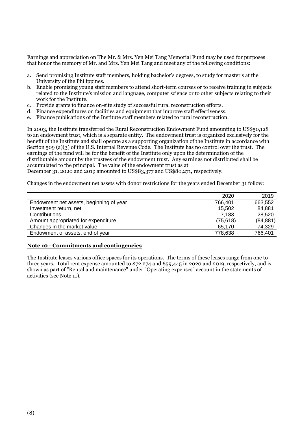Earnings and appreciation on The Mr. & Mrs. Yen Mei Tang Memorial Fund may be used for purposes that honor the memory of Mr. and Mrs. Yen Mei Tang and meet any of the following conditions:

- a. Send promising Institute staff members, holding bachelor's degrees, to study for master's at the University of the Philippines.
- b. Enable promising young staff members to attend short-term courses or to receive training in subjects related to the Institute's mission and language, computer science or to other subjects relating to their work for the Institute.
- c. Provide grants to finance on-site study of successful rural reconstruction efforts.
- d. Finance expenditures on facilities and equipment that improve staff effectiveness.
- e. Finance publications of the Institute staff members related to rural reconstruction.

In 2003, the Institute transferred the Rural Reconstruction Endowment Fund amounting to US\$50,128 to an endowment trust, which is a separate entity. The endowment trust is organized exclusively for the benefit of the Institute and shall operate as a supporting organization of the Institute in accordance with Section 509 (a)(3) of the U.S. Internal Revenue Code. The Institute has no control over the trust. The earnings of the fund will be for the benefit of the Institute only upon the determination of the distributable amount by the trustees of the endowment trust. Any earnings not distributed shall be accumulated to the principal. The value of the endowment trust as at December 31, 2020 and 2019 amounted to US\$83,377 and US\$80,271, respectively.

Changes in the endowment net assets with donor restrictions for the years ended December 31 follow:

|                                         | 2020      | 2019      |
|-----------------------------------------|-----------|-----------|
| Endowment net assets, beginning of year | 766,401   | 663,552   |
| Investment return, net                  | 15,502    | 84,881    |
| Contributions                           | 7,183     | 28,520    |
| Amount appropriated for expenditure     | (75, 618) | (84, 881) |
| Changes in the market value             | 65.170    | 74,329    |
| Endowment of assets, end of year        | 778,638   | 766,401   |

#### **Note 10 - Commitments and contingencies**

The Institute leases various office spaces for its operations. The terms of these leases range from one to three years. Total rent expense amounted to \$72,274 and \$59,445 in 2020 and 2019, respectively, and is shown as part of "Rental and maintenance" under "Operating expenses" account in the statements of activities (see Note 11).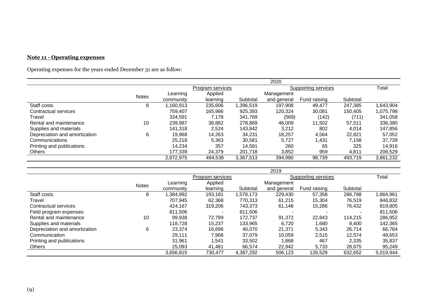# **Note 11 - Operating expenses**

Operating expenses for the years ended December 31 are as follow:

|                               |              | 2020      |                  |           |             |                     |          |           |  |
|-------------------------------|--------------|-----------|------------------|-----------|-------------|---------------------|----------|-----------|--|
|                               |              |           | Program services |           |             | Supporting services |          | Total     |  |
|                               | <b>Notes</b> | Learning  | Applied          |           | Management  |                     |          |           |  |
|                               |              | community | learning         | Subtotal  | and general | Fund raising        | Subtotal |           |  |
| Staff costs                   | 8            | 1,160,913 | 235,606          | 1,396,519 | 197,908     | 49,477              | 247,385  | 1,643,904 |  |
| Contractual services          |              | 759.407   | 165,986          | 925,393   | 120,324     | 30,081              | 150,405  | 1,075,798 |  |
| Travel                        |              | 334,591   | 7.178            | 341,769   | (569)       | (142)               | (711)    | 341.058   |  |
| Rental and maintenance        | 10           | 239,987   | 38,882           | 278.869   | 46,009      | 11,502              | 57,511   | 336,380   |  |
| Supplies and materials        |              | 141.318   | 2,524            | 143.842   | 3,212       | 802                 | 4,014    | 147,856   |  |
| Depreciation and amortization | 6            | 19,968    | 14,263           | 34,231    | 18,257      | 4,564               | 22,821   | 57,052    |  |
| Communications                |              | 25.218    | 5,363            | 30,581    | 5.727       | 1,431               | 7,158    | 37.739    |  |
| Printing and publications     |              | 14.234    | 357              | 14.591    | 260         | 65                  | 325      | 14,916    |  |
| Others                        |              | 177.339   | 24,379           | 201,718   | 3,852       | 959                 | 4,811    | 206,529   |  |
|                               |              | 2,872,975 | 494,538          | 3,367,513 | 394,980     | 98,739              | 493,719  | 3,861,232 |  |

|                               | 2019         |           |                          |           |             |                     |          |           |  |
|-------------------------------|--------------|-----------|--------------------------|-----------|-------------|---------------------|----------|-----------|--|
|                               |              |           | Program services         |           |             | Supporting services |          |           |  |
|                               | <b>Notes</b> | Learning  | Applied                  |           | Management  |                     |          |           |  |
|                               |              | community | learning                 | Subtotal  | and general | Fund raising        | Subtotal |           |  |
| Staff costs                   | 8            | ,384,992  | 193,181                  | 1,578,173 | 229,430     | 57,358              | 286,788  | 1,864,961 |  |
| Travel                        |              | 707,945   | 62,368                   | 770,313   | 61,215      | 15,304              | 76,519   | 846,832   |  |
| Contractual services          |              | 424,167   | 319,206                  | 743,373   | 61,146      | 15,286              | 76,432   | 819,805   |  |
| Field program expenses        |              | 811,506   | $\overline{\phantom{a}}$ | 811,506   |             |                     |          | 811,506   |  |
| Rental and maintenance        | 10           | 99,938    | 72,799                   | 172,737   | 91,372      | 22,843              | 114,215  | 286,952   |  |
| Supplies and materials        |              | 118.728   | 15,237                   | 133,965   | 6,720       | 1,680               | 8,400    | 142,365   |  |
| Depreciation and amortization | 6            | 23,374    | 16,696                   | 40,070    | 21,371      | 5,343               | 26,714   | 66,784    |  |
| Communication                 |              | 29.111    | 7,968                    | 37.079    | 10.059      | 2,515               | 12,574   | 49,653    |  |
| Printing and publications     |              | 31,961    | 1,541                    | 33,502    | 1,868       | 467                 | 2,335    | 35,837    |  |
| Others                        |              | 25,093    | 41,481                   | 66,574    | 22,942      | 5,733               | 28,675   | 95,249    |  |
|                               |              | 3,656,815 | 730,477                  | 4,387,292 | 506,123     | 126,529             | 632,652  | 5,019,944 |  |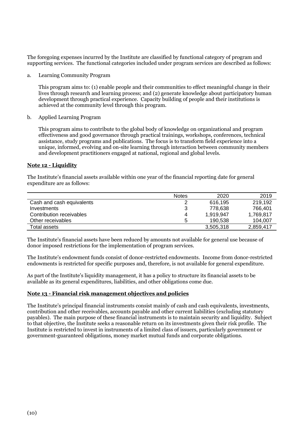The foregoing expenses incurred by the Institute are classified by functional category of program and supporting services. The functional categories included under program services are described as follows:

a. Learning Community Program

This program aims to: (1) enable people and their communities to effect meaningful change in their lives through research and learning process; and (2) generate knowledge about participatory human development through practical experience. Capacity building of people and their institutions is achieved at the community level through this program.

b. Applied Learning Program

This program aims to contribute to the global body of knowledge on organizational and program effectiveness and good governance through practical trainings, workshops, conferences, technical assistance, study programs and publications. The focus is to transform field experience into a unique, informed, evolving and on-site learning through interaction between community members and development practitioners engaged at national, regional and global levels.

#### **Note 12 - Liquidity**

The Institute's financial assets available within one year of the financial reporting date for general expenditure are as follows:

|                           | <b>Notes</b> | 2020      | 2019      |
|---------------------------|--------------|-----------|-----------|
| Cash and cash equivalents |              | 616,195   | 219,192   |
| Investments               | 3            | 778.638   | 766,401   |
| Contribution receivables  | 4            | 1,919,947 | 1,769,817 |
| Other receivables         |              | 190,538   | 104,007   |
| Total assets              |              | 3,505,318 | 2,859,417 |

The Institute's financial assets have been reduced by amounts not available for general use because of donor imposed restrictions for the implementation of program services.

The Institute's endowment funds consist of donor-restricted endowments. Income from donor-restricted endowments is restricted for specific purposes and, therefore, is not available for general expenditure.

As part of the Institute's liquidity management, it has a policy to structure its financial assets to be available as its general expenditures, liabilities, and other obligations come due.

#### **Note 13 - Financial risk management objectives and policies**

The Institute's principal financial instruments consist mainly of cash and cash equivalents, investments, contribution and other receivables, accounts payable and other current liabilities (excluding statutory payables). The main purpose of these financial instruments is to maintain security and liquidity. Subject to that objective, the Institute seeks a reasonable return on its investments given their risk profile. The Institute is restricted to invest in instruments of a limited class of issuers, particularly government or government-guaranteed obligations, money market mutual funds and corporate obligations.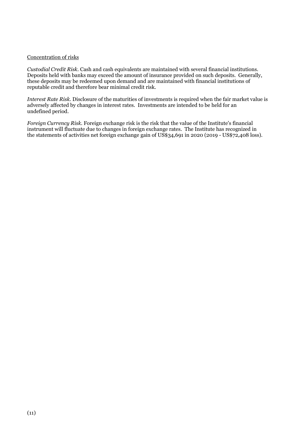#### Concentration of risks

*Custodial Credit Risk.* Cash and cash equivalents are maintained with several financial institutions. Deposits held with banks may exceed the amount of insurance provided on such deposits. Generally, these deposits may be redeemed upon demand and are maintained with financial institutions of reputable credit and therefore bear minimal credit risk.

*Interest Rate Risk.* Disclosure of the maturities of investments is required when the fair market value is adversely affected by changes in interest rates. Investments are intended to be held for an undefined period.

*Foreign Currency Risk.* Foreign exchange risk is the risk that the value of the Institute's financial instrument will fluctuate due to changes in foreign exchange rates. The Institute has recognized in the statements of activities net foreign exchange gain of US\$34,691 in 2020 (2019 - US\$72,408 loss).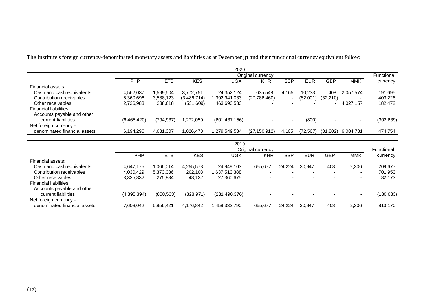The Institute's foreign currency-denominated monetary assets and liabilities as at December 31 and their functional currency equivalent follow:

|                              |             |            |             | 2020            |                   |                |            |            |            |            |
|------------------------------|-------------|------------|-------------|-----------------|-------------------|----------------|------------|------------|------------|------------|
|                              |             |            |             |                 | Original currency |                |            |            |            | Functional |
|                              | PHP         | <b>ETB</b> | <b>KES</b>  | <b>UGX</b>      | <b>KHR</b>        | <b>SSP</b>     | <b>EUR</b> | <b>GBP</b> | <b>MMK</b> | currency   |
| Financial assets:            |             |            |             |                 |                   |                |            |            |            |            |
| Cash and cash equivalents    | 4,562,037   | 599,504,   | 3,772,751   | 24,352,124      | 635.548           | 4.165          | 10.233     | 408        | 2,057,574  | 191,695    |
| Contribution receivables     | 5,360,696   | 3,588,123  | (3,486,714) | 1,392,941,033   | (27,786,460)      | $\blacksquare$ | (82,001)   | (32,210)   |            | 403,226    |
| Other receivables            | 2,736,983   | 238,618    | (531,609)   | 463,693,533     | $\sim$            |                |            |            | 4,027,157  | 182,472    |
| <b>Financial liabilities</b> |             |            |             |                 |                   |                |            |            |            |            |
| Accounts payable and other   |             |            |             |                 |                   |                |            |            |            |            |
| current liabilities          | (6,465,420) | (794, 937) | 272,050,    | (601, 437, 156) | $\sim$            |                | (800)      |            |            | (302, 639) |
| Net foreign currency -       |             |            |             |                 |                   |                |            |            |            |            |
| denominated financial assets | 6,194,296   | 4,631,307  | ,026,478    | 1,279,549,534   | (27, 150, 912)    | 4.165          | (72, 567)  | (31, 802)  | 6,084,731  | 474,754    |

|                              |             |            |            | 2019          |                          |                          |                          |            |                          |            |
|------------------------------|-------------|------------|------------|---------------|--------------------------|--------------------------|--------------------------|------------|--------------------------|------------|
|                              |             |            |            |               | Original currency        |                          |                          |            |                          | Functional |
|                              | <b>PHP</b>  | <b>ETB</b> | <b>KES</b> | UGX           | <b>KHR</b>               | <b>SSP</b>               | <b>EUR</b>               | <b>GBP</b> | <b>MMK</b>               | currency   |
| Financial assets:            |             |            |            |               |                          |                          |                          |            |                          |            |
| Cash and cash equivalents    | 4.647.175   | .066.014   | 4,255,578  | 24.949.103    | 655.677                  | 24.224                   | 30.947                   | 408        | 2,306                    | 209,677    |
| Contribution receivables     | 4.030.429   | 5,373,086  | 202,103    | .637,513,388  | $\overline{\phantom{0}}$ | $\overline{\phantom{a}}$ | -                        |            | $\overline{\phantom{a}}$ | 701.953    |
| Other receivables            | 3,325,832   | 275,884    | 48.132     | 27,360,675    |                          | $\overline{\phantom{0}}$ | $\overline{\phantom{a}}$ |            | $\overline{\phantom{0}}$ | 82,173     |
| <b>Financial liabilities</b> |             |            |            |               |                          |                          |                          |            |                          |            |
| Accounts payable and other   |             |            |            |               |                          |                          |                          |            |                          |            |
| current liabilities          | (4,395,394) | (858, 563) | (328, 971) | (231,490,376) |                          |                          |                          |            |                          | (180,633)  |
| Net foreign currency -       |             |            |            |               |                          |                          |                          |            |                          |            |
| denominated financial assets | 7,608,042   | 5,856,421  | 4,176,842  | ,458,332,790  | 655,677                  | 24,224                   | 30,947                   | 408        | 2,306                    | 813,170    |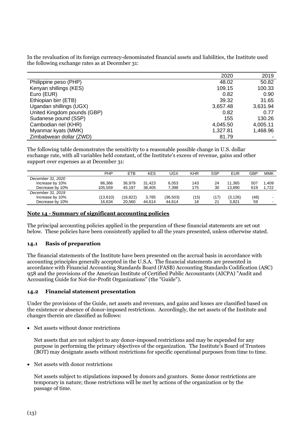In the revaluation of its foreign currency-denominated financial assets and liabilities, the Institute used the following exchange rates as at December 31:

|                             | 2020     | 2019     |
|-----------------------------|----------|----------|
| Philippine peso (PHP)       | 48.02    | 50.82    |
| Kenyan shillings (KES)      | 109.15   | 100.33   |
| Euro (EUR)                  | 0.82     | 0.90     |
| Ethiopian birr (ETB)        | 39.32    | 31.65    |
| Ugandan shillings (UGX)     | 3,657.48 | 3,631.94 |
| United Kingdom pounds (GBP) | 0.82     | 0.77     |
| Sudanese pound (SSP)        | 155      | 130.26   |
| Cambodian riel (KHR)        | 4,045.50 | 4,005.11 |
| Myanmar kyats (MMK)         | 1,327.81 | 1,468.96 |
| Zimbabwean dollar (ZWD)     | 81.79    |          |

The following table demonstrates the sensitivity to a reasonable possible change in U.S. dollar exchange rate, with all variables held constant, of the Institute's excess of revenue, gains and other support over expenses as at December 31:

|                   | PHP      | <b>ETB</b> | <b>KES</b> | UGX       | <b>KHR</b> | <b>SSP</b> | <b>EUR</b> | GBP  | MMK   |
|-------------------|----------|------------|------------|-----------|------------|------------|------------|------|-------|
| December 31, 2020 |          |            |            |           |            |            |            |      |       |
| Increase by 10%   | 86.366   | 36.979     | 31.423     | 6,053     | 143        | 24         | 11.365     | 507  | 1.409 |
| Decrease by 10%   | 105.559  | 45.197     | 38.405     | 7.398     | 175        | 30         | 13.890     | 619  | 1.722 |
| December 31, 2019 |          |            |            |           |            |            |            |      |       |
| Increase by 10%   | (13,610) | (16,822)   | 3.785      | (36, 503) | (15)       | (17)       | (3, 126)   | (48) |       |
| Decrease by 10%   | 16.634   | 20.560     | 44.614     | 44.614    | 18         | 21         | 3.821      | 59   |       |

#### **Note 14 - Summary of significant accounting policies**

The principal accounting policies applied in the preparation of these financial statements are set out below. These policies have been consistently applied to all the years presented, unless otherwise stated.

# **14.1 Basis of preparation**

The financial statements of the Institute have been presented on the accrual basis in accordance with accounting principles generally accepted in the U.S.A. The financial statements are presented in accordance with Financial Accounting Standards Board (FASB) Accounting Standards Codification (ASC) 958 and the provisions of the American Institute of Certified Public Accountants (AICPA) "Audit and Accounting Guide for Not-for-Profit Organizations" (the "Guide").

#### **14.2 Financial statement presentation**

Under the provisions of the Guide, net assets and revenues, and gains and losses are classified based on the existence or absence of donor-imposed restrictions. Accordingly, the net assets of the Institute and changes therein are classified as follows:

• Net assets without donor restrictions

Net assets that are not subject to any donor-imposed restrictions and may be expended for any purpose in performing the primary objectives of the organization. The Institute's Board of Trustees (BOT) may designate assets without restrictions for specific operational purposes from time to time.

• Net assets with donor restrictions

Net assets subject to stipulations imposed by donors and grantors. Some donor restrictions are temporary in nature; those restrictions will be met by actions of the organization or by the passage of time.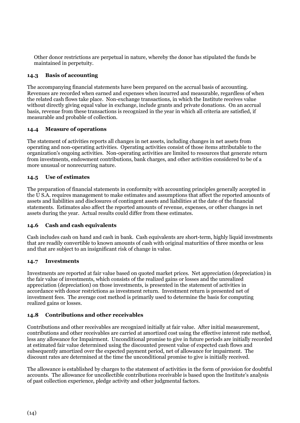Other donor restrictions are perpetual in nature, whereby the donor has stipulated the funds be maintained in perpetuity.

# **14.3 Basis of accounting**

The accompanying financial statements have been prepared on the accrual basis of accounting. Revenues are recorded when earned and expenses when incurred and measurable, regardless of when the related cash flows take place. Non-exchange transactions, in which the Institute receives value without directly giving equal value in exchange, include grants and private donations. On an accrual basis, revenue from these transactions is recognized in the year in which all criteria are satisfied, if measurable and probable of collection.

# **14.4 Measure of operations**

The statement of activities reports all changes in net assets, including changes in net assets from operating and non-operating activities. Operating activities consist of those items attributable to the organization's ongoing activities. Non-operating activities are limited to resources that generate return from investments, endowment contributions, bank charges, and other activities considered to be of a more unusual or nonrecurring nature.

# **14.5 Use of estimates**

The preparation of financial statements in conformity with accounting principles generally accepted in the U S.A. requires management to make estimates and assumptions that affect the reported amounts of assets and liabilities and disclosures of contingent assets and liabilities at the date of the financial statements. Estimates also affect the reported amounts of revenue, expenses, or other changes in net assets during the year. Actual results could differ from these estimates.

# **14.6 Cash and cash equivalents**

Cash includes cash on hand and cash in bank. Cash equivalents are short-term, highly liquid investments that are readily convertible to known amounts of cash with original maturities of three months or less and that are subject to an insignificant risk of change in value.

# **14.7 Investments**

Investments are reported at fair value based on quoted market prices. Net appreciation (depreciation) in the fair value of investments, which consists of the realized gains or losses and the unrealized appreciation (depreciation) on those investments, is presented in the statement of activities in accordance with donor restrictions as investment return. Investment return is presented net of investment fees. The average cost method is primarily used to determine the basis for computing realized gains or losses.

# **14.8 Contributions and other receivables**

Contributions and other receivables are recognized initially at fair value. After initial measurement, contributions and other receivables are carried at amortized cost using the effective interest rate method, less any allowance for Impairment. Unconditional promise to give in future periods are initially recorded at estimated fair value determined using the discounted present value of expected cash flows and subsequently amortized over the expected payment period, net of allowance for impairment. The discount rates are determined at the time the unconditional promise to give is initially received.

The allowance is established by charges to the statement of activities in the form of provision for doubtful accounts. The allowance for uncollectible contributions receivable is based upon the Institute's analysis of past collection experience, pledge activity and other judgmental factors.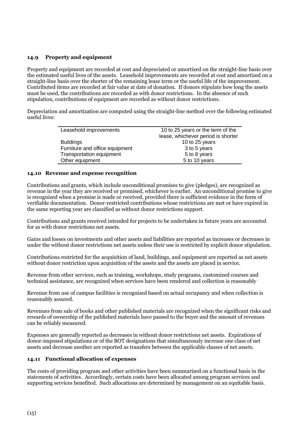# **14.9 Property and equipment**

Property and equipment are recorded at cost and depreciated or amortized on the straight-line basis over the estimated useful lives of the assets. Leasehold improvements are recorded at cost and amortized on a straight-line basis over the shorter of the remaining lease term or the useful life of the improvement. Contributed items are recorded at fair value at date of donation. If donors stipulate how long the assets must be used, the contributions are recorded as with donor restrictions. In the absence of such stipulation, contributions of equipment are recorded as without donor restrictions.

Depreciation and amortization are computed using the straight-line method over the following estimated useful lives:

| Leasehold improvements         | 10 to 25 years or the term of the  |  |  |  |  |
|--------------------------------|------------------------------------|--|--|--|--|
|                                | lease, whichever period is shorter |  |  |  |  |
| <b>Buildings</b>               | 10 to 25 years                     |  |  |  |  |
| Furniture and office equipment | 3 to 5 years                       |  |  |  |  |
| Transportation equipment       | 5 to 8 years                       |  |  |  |  |
| Other equipment                | 5 to 10 years                      |  |  |  |  |

#### **14.10 Revenue and expense recognition**

Contributions and grants, which include unconditional promises to give (pledges), are recognized as revenue in the year they are received or promised, whichever is earlier. An unconditional promise to give is recognized when a promise is made or received, provided there is sufficient evidence in the form of verifiable documentation. Donor-restricted contributions whose restrictions are met or have expired in the same reporting year are classified as without donor restrictions support.

Contributions and grants received intended for projects to be undertaken in future years are accounted for as with donor restrictions net assets.

Gains and losses on investments and other assets and liabilities are reported as increases or decreases in under the without donor restrictions net assets unless their use is restricted by explicit donor stipulation.

Contributions restricted for the acquisition of land, buildings, and equipment are reported as net assets without donor restriction upon acquisition of the assets and the assets are placed in service.

Revenue from other services, such as training, workshops, study programs, customized courses and technical assistance, are recognized when services have been rendered and collection is reasonably

Revenue from use of campus facilities is recognized based on actual occupancy and when collection is reasonably assured.

Revenues from sale of books and other published materials are recognized when the significant risks and rewards of ownership of the published materials have passed to the buyer and the amount of revenues can be reliably measured.

Expenses are generally reported as decreases in without donor restrictions net assets. Expirations of donor-imposed stipulations or of the BOT designations that simultaneously increase one class of net assets and decrease another are reported as transfers between the applicable classes of net assets.

# **14.11 Functional allocation of expenses**

The costs of providing program and other activities have been summarized on a functional basis in the statements of activities. Accordingly, certain costs have been allocated among program services and supporting services benefited. Such allocations are determined by management on an equitable basis.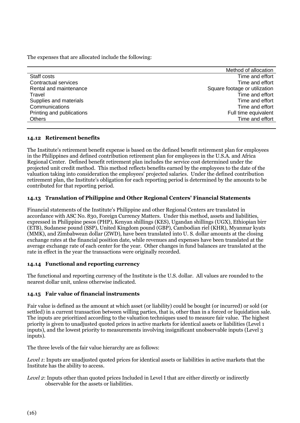The expenses that are allocated include the following:

|                           | Method of allocation          |
|---------------------------|-------------------------------|
| Staff costs               | Time and effort               |
| Contractual services      | Time and effort               |
| Rental and maintenance    | Square footage or utilization |
| Travel                    | Time and effort               |
| Supplies and materials    | Time and effort               |
| Communications            | Time and effort               |
| Printing and publications | Full time equivalent          |
| <b>Others</b>             | Time and effort               |
|                           |                               |

# **14.12 Retirement benefits**

The Institute's retirement benefit expense is based on the defined benefit retirement plan for employees in the Philippines and defined contribution retirement plan for employees in the U.S.A. and Africa Regional Center. Defined benefit retirement plan includes the service cost determined under the projected unit credit method. This method reflects benefits earned by the employees to the date of the valuation taking into consideration the employees' projected salaries. Under the defined contribution retirement plan, the Institute's obligation for each reporting period is determined by the amounts to be contributed for that reporting period.

# **14.13 Translation of Philippine and Other Regional Centers' Financial Statements**

Financial statements of the Institute's Philippine and other Regional Centers are translated in accordance with ASC No. 830, Foreign Currency Matters. Under this method, assets and liabilities, expressed in Philippine pesos (PHP), Kenyan shillings (KES), Ugandan shillings (UGX), Ethiopian birr (ETB), Sudanese pound (SSP), United Kingdom pound (GBP), Cambodian riel (KHR), Myanmar kyats (MMK), and Zimbabwean dollar (ZWD), have been translated into U. S. dollar amounts at the closing exchange rates at the financial position date, while revenues and expenses have been translated at the average exchange rate of each center for the year. Other changes in fund balances are translated at the rate in effect in the year the transactions were originally recorded.

# **14.14 Functional and reporting currency**

The functional and reporting currency of the Institute is the U.S. dollar. All values are rounded to the nearest dollar unit, unless otherwise indicated.

# **14.15 Fair value of financial instruments**

Fair value is defined as the amount at which asset (or liability) could be bought (or incurred) or sold (or settled) in a current transaction between willing parties, that is, other than in a forced or liquidation sale. The inputs are prioritized according to the valuation techniques used to measure fair value. The highest priority is given to unadjusted quoted prices in active markets for identical assets or liabilities (Level 1 inputs), and the lowest priority to measurements involving insignificant unobservable inputs (Level 3 inputs).

The three levels of the fair value hierarchy are as follows:

*Level 1*: Inputs are unadjusted quoted prices for identical assets or liabilities in active markets that the Institute has the ability to access.

*Level 2*: Inputs other than quoted prices Included in Level I that are either directly or indirectly observable for the assets or liabilities.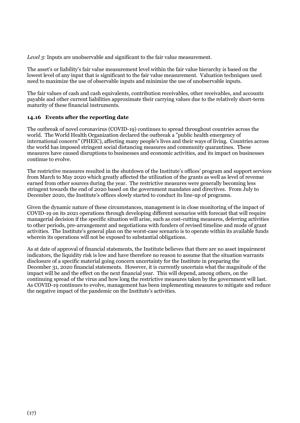*Level 3*: Inputs are unobservable and significant to the fair value measurement.

The asset's or liability's fair value measurement level within the fair value hierarchy is based on the lowest level of any input that is significant to the fair value measurement. Valuation techniques used need to maximize the use of observable inputs and minimize the use of unobservable inputs.

The fair values of cash and cash equivalents, contribution receivables, other receivables, and accounts payable and other current liabilities approximate their carrying values due to the relatively short-term maturity of these financial instruments.

#### **14.16 Events after the reporting date**

The outbreak of novel coronavirus (COVID-19) continues to spread throughout countries across the world. The World Health Organization declared the outbreak a "public health emergency of international concern" (PHEIC), affecting many people's lives and their ways of living. Countries across the world has imposed stringent social distancing measures and community quarantines. These measures have caused disruptions to businesses and economic activities, and its impact on businesses continue to evolve.

The restrictive measures resulted in the shutdown of the Institute's offices' program and support services from March to May 2020 which greatly affected the utilization of the grants as well as level of revenue earned from other sources during the year. The restrictive measures were generally becoming less stringent towards the end of 2020 based on the government mandates and directives. From July to December 2020, the Institute's offices slowly started to conduct its line-up of programs.

Given the dynamic nature of these circumstances, management is in close monitoring of the impact of COVID-19 on its 2021 operations through developing different scenarios with forecast that will require managerial decision if the specific situation will arise, such as cost-cutting measures, deferring activities to other periods, pre-arrangement and negotiations with funders of revised timeline and mode of grant activities. The Institute's general plan on the worst-case scenario is to operate within its available funds wherein its operations will not be exposed to substantial obligations.

As at date of approval of financial statements, the Institute believes that there are no asset impairment indicators, the liquidity risk is low and have therefore no reason to assume that the situation warrants disclosure of a specific material going concern uncertainty for the Institute in preparing the December 31, 2020 financial statements. However, it is currently uncertain what the magnitude of the impact will be and the effect on the next financial year. This will depend, among others, on the continuing spread of the virus and how long the restrictive measures taken by the government will last. As COVID-19 continues to evolve, management has been implementing measures to mitigate and reduce the negative impact of the pandemic on the Institute's activities.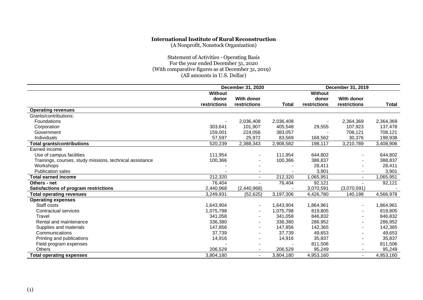(A Nonprofit, Nonstock Organization)

Statement of Activities - Operating Basis For the year ended December 31, 2020 (With comparative figures as at December 31, 2019) (All amounts in U.S. Dollar)

|                                                          |                | December 31, 2020        |           | December 31, 2019 |                          |           |  |
|----------------------------------------------------------|----------------|--------------------------|-----------|-------------------|--------------------------|-----------|--|
|                                                          | <b>Without</b> |                          |           | <b>Without</b>    |                          |           |  |
|                                                          | donor          | With donor               |           | donor             | <b>With donor</b>        |           |  |
|                                                          | restrictions   | restrictions             | Total     | restrictions      | restrictions             | Total     |  |
| <b>Operating revenues</b>                                |                |                          |           |                   |                          |           |  |
| Grants/contributions:                                    |                |                          |           |                   |                          |           |  |
| <b>Foundations</b>                                       |                | 2,036,408                | 2,036,408 |                   | 2,364,369                | 2,364,369 |  |
| Corporation                                              | 303,641        | 101,907                  | 405,548   | 29,555            | 107,923                  | 137,478   |  |
| Government                                               | 159,001        | 224,056                  | 383,057   |                   | 708,121                  | 708,121   |  |
| Individuals                                              | 57,597         | 25,972                   | 83,569    | 168,562           | 30,376                   | 198,938   |  |
| <b>Total grants/contributions</b>                        | 520,239        | 2,388,343                | 2,908,582 | 198,117           | 3,210,789                | 3,408,906 |  |
| Earned income                                            |                |                          |           |                   |                          |           |  |
| Use of campus facilities                                 | 111,954        |                          | 111,954   | 644,802           |                          | 644,802   |  |
| Trainings, courses, study missions, technical assistance | 100,366        |                          | 100,366   | 388,837           |                          | 388,837   |  |
| Workshops                                                |                |                          |           | 28,411            |                          | 28,411    |  |
| <b>Publication sales</b>                                 |                |                          |           | 3,901             |                          | 3,901     |  |
| <b>Total earned income</b>                               | 212,320        | $\sim$                   | 212,320   | 1,065,951         | $\sim$                   | 1,065,951 |  |
| Others - net                                             | 76,404         |                          | 76,404    | 92,121            |                          | 92,121    |  |
| Satisfactions of program restrictions                    | 2,440,968      | (2,440,968)              |           | 3,070,591         | (3,070,591)              |           |  |
| <b>Total operating revenues</b>                          | 3,249,931      | (52, 625)                | 3,197,306 | 4,426,780         | 140,198                  | 4,566,978 |  |
| <b>Operating expenses</b>                                |                |                          |           |                   |                          |           |  |
| Staff costs                                              | 1,643,904      | $\blacksquare$           | 1,643,904 | 1,864,961         | $\overline{\phantom{a}}$ | 1,864,961 |  |
| Contractual services                                     | 1,075,798      |                          | 1,075,798 | 819,805           |                          | 819,805   |  |
| Travel                                                   | 341,058        |                          | 341,058   | 846,832           |                          | 846,832   |  |
| Rental and maintenance                                   | 336,380        |                          | 336,380   | 286,952           |                          | 286,952   |  |
| Supplies and materials                                   | 147,856        |                          | 147,856   | 142,365           |                          | 142,365   |  |
| Communications                                           | 37,739         |                          | 37,739    | 49,653            |                          | 49,653    |  |
| Printing and publications                                | 14,916         | $\overline{\phantom{a}}$ | 14,916    | 35,837            |                          | 35,837    |  |
| Field program expenses                                   |                |                          |           | 811,506           |                          | 811,506   |  |
| <b>Others</b>                                            | 206,529        |                          | 206,529   | 95,249            |                          | 95,249    |  |
| <b>Total operating expenses</b>                          | 3,804,180      | $\overline{\phantom{a}}$ | 3,804,180 | 4,953,160         | $\overline{\phantom{a}}$ | 4,953,160 |  |